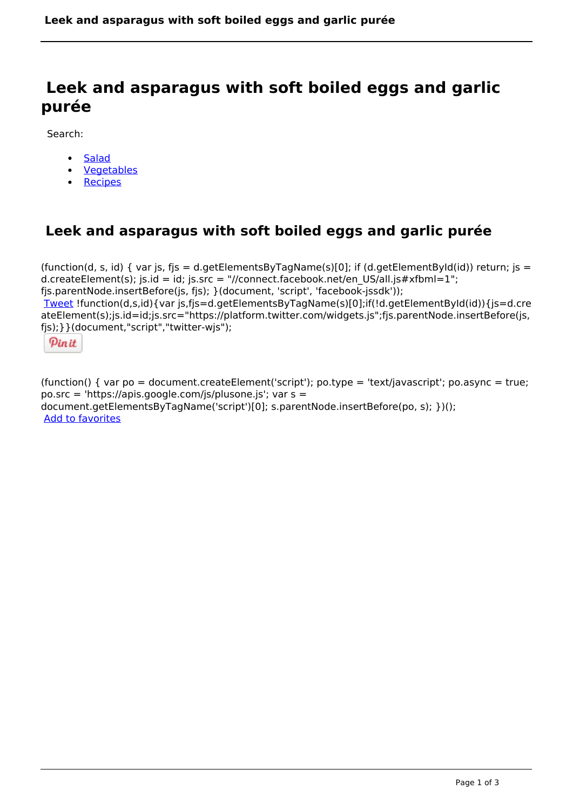# **Leek and asparagus with soft boiled eggs and garlic purée**

Search:

- **[Salad](https://www.naturalhealthmag.com.au/nourish/salads)**  $\bullet$
- **[Vegetables](https://www.naturalhealthmag.com.au/nourish/veg)**
- [Recipes](https://www.naturalhealthmag.com.au/nourish/recipes)

# **Leek and asparagus with soft boiled eggs and garlic purée**

(function(d, s, id) { var js, fjs = d.getElementsByTagName(s)[0]; if (d.getElementById(id)) return; js = d.createElement(s); js.id = id; js.src = "//connect.facebook.net/en\_US/all.js#xfbml=1"; fjs.parentNode.insertBefore(js, fjs); }(document, 'script', 'facebook-jssdk')); [Tweet](https://twitter.com/share) !function(d,s,id){var js,fjs=d.getElementsByTagName(s)[0];if(!d.getElementById(id)){js=d.cre ateElement(s);js.id=id;js.src="https://platform.twitter.com/widgets.js";fjs.parentNode.insertBefore(js, fjs);}}(document,"script","twitter-wjs");



(function() { var po = document.createElement('script'); po.type = 'text/javascript'; po.async = true; po.src = 'https://apis.google.com/js/plusone.js'; var s = document.getElementsByTagName('script')[0]; s.parentNode.insertBefore(po, s); })(); Add to favorites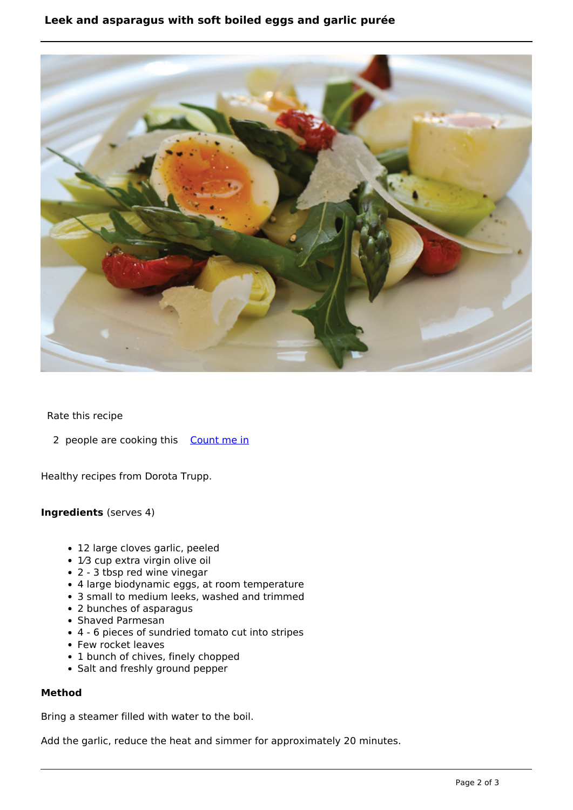## **Leek and asparagus with soft boiled eggs and garlic purée**



### Rate this recipe

2 people are cooking this [Count me in](https://www.naturalhealthmag.com.au/flag/flag/favorites/649?destination=printpdf%2F649&token=729ed6a539bb247551f0e2881cc6e723)

Healthy recipes from Dorota Trupp.

#### **Ingredients** (serves 4)

- 12 large cloves garlic, peeled
- 1⁄3 cup extra virgin olive oil
- 2 3 tbsp red wine vinegar
- 4 large biodynamic eggs, at room temperature
- 3 small to medium leeks, washed and trimmed
- 2 bunches of asparagus
- Shaved Parmesan
- 4 6 pieces of sundried tomato cut into stripes
- Few rocket leaves
- 1 bunch of chives, finely chopped
- Salt and freshly ground pepper

#### **Method**

Bring a steamer filled with water to the boil.

Add the garlic, reduce the heat and simmer for approximately 20 minutes.